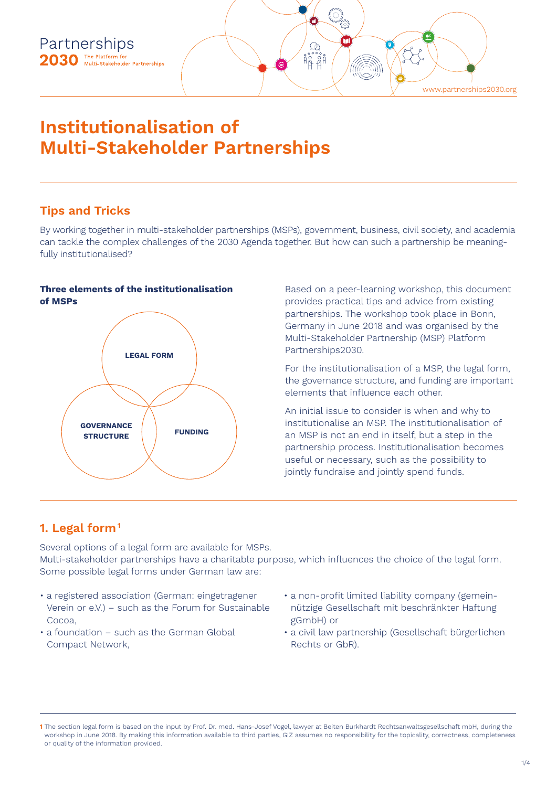

# **Institutionalisation of Multi-Stakeholder Partnerships**

# **Tips and Tricks**

By working together in multi-stakeholder partnerships (MSPs), government, business, civil society, and academia can tackle the complex challenges of the 2030 Agenda together. But how can such a partnership be meaningfully institutionalised?

#### **Three elements of the institutionalisation of MSPs**



Based on a peer-learning workshop, this document provides practical tips and advice from existing partnerships. The workshop took place in Bonn, Germany in June 2018 and was organised by the Multi-Stakeholder Partnership (MSP) Platform Partnerships2030.

For the institutionalisation of a MSP, the legal form, the governance structure, and funding are important elements that influence each other.

An initial issue to consider is when and why to institutionalise an MSP. The institutionalisation of an MSP is not an end in itself, but a step in the partnership process. Institutionalisation becomes useful or necessary, such as the possibility to jointly fundraise and jointly spend funds.

# **1. Legal form1**

Several options of a legal form are available for MSPs. Multi-stakeholder partnerships have a charitable purpose, which influences the choice of the legal form. Some possible legal forms under German law are:

- a registered association (German: eingetragener Verein or e.V.) – such as the Forum for Sustainable Cocoa,
- a foundation such as the German Global Compact Network,
- a non-profit limited liability company (gemeinnützige Gesellschaft mit beschränkter Haftung gGmbH) or
- a civil law partnership (Gesellschaft bürgerlichen Rechts or GbR).

**<sup>1</sup>** The section legal form is based on the input by Prof. Dr. med. Hans-Josef Vogel, lawyer at Beiten Burkhardt Rechtsanwaltsgesellschaft mbH, during the workshop in June 2018. By making this information available to third parties, GIZ assumes no responsibility for the topicality, correctness, completeness or quality of the information provided.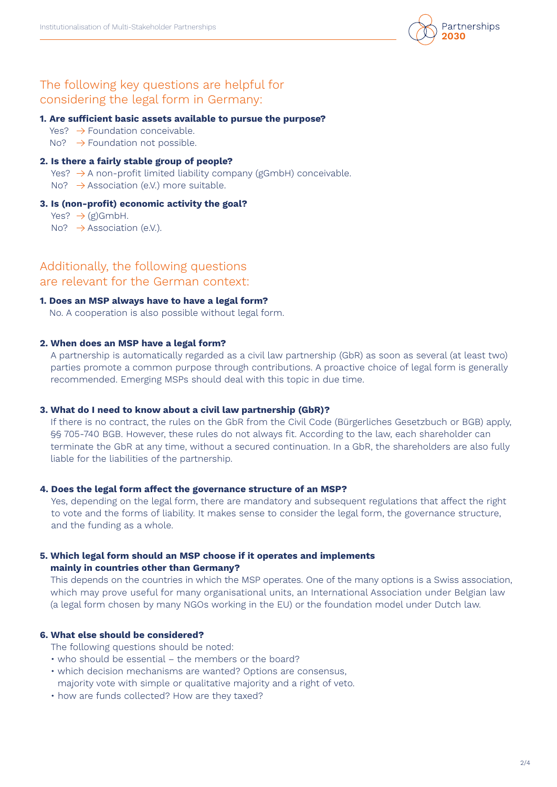

## The following key questions are helpful for considering the legal form in Germany:

#### **1. Are sufficient basic assets available to pursue the purpose?**

- $Yes? \rightarrow Foundation coneivable.$
- $No? \rightarrow$  Foundation not possible.

#### **2. Is there a fairly stable group of people?**

- Yes?  $\rightarrow$  A non-profit limited liability company (gGmbH) conceivable.
- No?  $\rightarrow$  Association (e.V.) more suitable.

#### **3. Is (non-profit) economic activity the goal?**

Yes?  $\rightarrow$  (g)GmbH.

No?  $\rightarrow$  Association (e.V.).

Additionally, the following questions are relevant for the German context:

#### **1. Does an MSP always have to have a legal form?**

No. A cooperation is also possible without legal form.

#### **2. When does an MSP have a legal form?**

A partnership is automatically regarded as a civil law partnership (GbR) as soon as several (at least two) parties promote a common purpose through contributions. A proactive choice of legal form is generally recommended. Emerging MSPs should deal with this topic in due time.

#### **3. What do I need to know about a civil law partnership (GbR)?**

If there is no contract, the rules on the GbR from the Civil Code (Bürgerliches Gesetzbuch or BGB) apply, §§ 705-740 BGB. However, these rules do not always fit. According to the law, each shareholder can terminate the GbR at any time, without a secured continuation. In a GbR, the shareholders are also fully liable for the liabilities of the partnership.

#### **4. Does the legal form affect the governance structure of an MSP?**

Yes, depending on the legal form, there are mandatory and subsequent regulations that affect the right to vote and the forms of liability. It makes sense to consider the legal form, the governance structure, and the funding as a whole.

#### **5. Which legal form should an MSP choose if it operates and implements mainly in countries other than Germany?**

This depends on the countries in which the MSP operates. One of the many options is a Swiss association, which may prove useful for many organisational units, an International Association under Belgian law (a legal form chosen by many NGOs working in the EU) or the foundation model under Dutch law.

#### **6. What else should be considered?**

The following questions should be noted:

- who should be essential the members or the board?
- which decision mechanisms are wanted? Options are consensus, majority vote with simple or qualitative majority and a right of veto.
- how are funds collected? How are they taxed?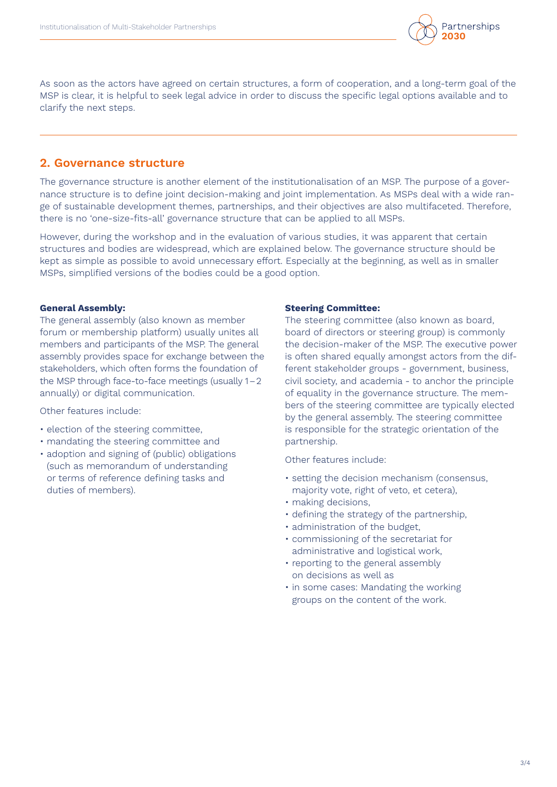

As soon as the actors have agreed on certain structures, a form of cooperation, and a long-term goal of the MSP is clear, it is helpful to seek legal advice in order to discuss the specific legal options available and to clarify the next steps.

### **2. Governance structure**

The governance structure is another element of the institutionalisation of an MSP. The purpose of a governance structure is to define joint decision-making and joint implementation. As MSPs deal with a wide range of sustainable development themes, partnerships, and their objectives are also multifaceted. Therefore, there is no 'one-size-fits-all' governance structure that can be applied to all MSPs.

However, during the workshop and in the evaluation of various studies, it was apparent that certain structures and bodies are widespread, which are explained below. The governance structure should be kept as simple as possible to avoid unnecessary effort. Especially at the beginning, as well as in smaller MSPs, simplified versions of the bodies could be a good option.

#### **General Assembly:**

The general assembly (also known as member forum or membership platform) usually unites all members and participants of the MSP. The general assembly provides space for exchange between the stakeholders, which often forms the foundation of the MSP through face-to-face meetings (usually 1–2 annually) or digital communication.

Other features include:

- election of the steering committee,
- mandating the steering committee and
- adoption and signing of (public) obligations (such as memorandum of understanding or terms of reference defining tasks and duties of members).

#### **Steering Committee:**

The steering committee (also known as board, board of directors or steering group) is commonly the decision-maker of the MSP. The executive power is often shared equally amongst actors from the different stakeholder groups - government, business, civil society, and academia - to anchor the principle of equality in the governance structure. The members of the steering committee are typically elected by the general assembly. The steering committee is responsible for the strategic orientation of the partnership.

Other features include:

- setting the decision mechanism (consensus, majority vote, right of veto, et cetera),
- making decisions,
- defining the strategy of the partnership,
- administration of the budget,
- commissioning of the secretariat for administrative and logistical work,
- reporting to the general assembly on decisions as well as
- in some cases: Mandating the working groups on the content of the work.